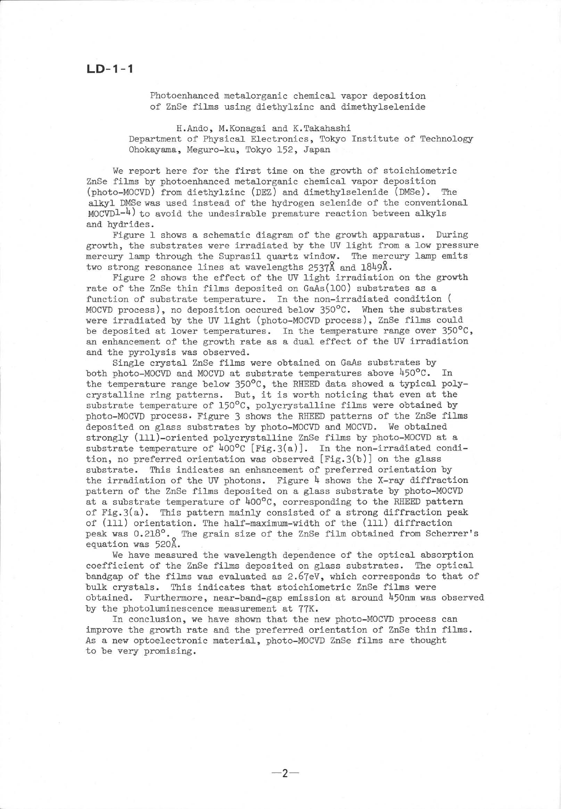Photoenhanced. metalorganic chemical vapor deposition of ZnSe films using diethylzinc and dimethylselenide

H.Ando, M.Konagai and. K.Takahashi Department of Physical Electronics, Tokyo Institute of Technology Ohokayama, Meguro-ku, Tokyo 152, Japan

We report here for the first time on the growth of stoichiometric ZnSe films by photoenhanced metalorganic chemical vapor deposition (photo-MOCVD) from diethylzinc (DEZ) and dimethylselenide (DMSe). The alkyl DMSe was used instead of the hydrogen selenide of the conventional  $MOCVDL^{-1}$  to avoid the undesirable premature reaction between alkyls and hydrides.

Figure 1 shows a schematic diagram of the growth apparatus. During growth, the substrates were irradiated by the UV light from a low pressure mercury lamp through the Suprasil quartz window. The mercury lamp emits two strong resonance lines at wavelengths 2537Å and 1849Å.

Figure 2 shows the effect of the UV light irradiation on the growth rate of the ZnSe thin films deposited on GaAs(100) substrates as a function of substrate temperature. In the non-irradiated condition ( MOCVD process), no deposition occured below 350°C. When the substrates were irradiated by the UV light (photo-MOCVD process), ZnSe films could be deposited at lower temperatures. In the temperature range over  $350^{\circ}$ C, an enhancement of the growth rate as a dual effect of the UV irradiation and the pyrolysis was observed.

Single crystal ZnSe films were obtained on GaAs substrates by both photo-MOCVD and MOCVD at substrate temperatures above  $450^{\circ}$ C. In the temperature range below 350°C, the RHEED data showed a typical polycrystalline ring patterns. But, it is worth noticing that even at the substrate temperature of  $150^{\circ}$ C, polycrystalline films were obtained by photo-MOCVD process. Figure 3 shows the RHEED patterns of the ZnSe films deposited on glass substrates by photo-MOCVD and MOCVD. We obtained strongly (111)-oriented polycrystalline ZnSe films by photo-MOCVD at a substrate temperature of  $400^{\circ}$ C [Fig.3(a)]. In the non-irradiated condition, no preferred orientation was observed  $[Fig.3(b)]$  on the glass substrate. This indicates an enhancement of preferred orientation by the irradiation of the UV photons. Figure  $4$  shows the X-ray diffraction pattern of the ZnSe films deposited on a glass substrate by photo-MOCVD at a substrate temperature of  $400^{\circ}$ C, corresponding to the RHEED pattern of Fig.3(a). This pattern mainly consisted of a strong diffraction peak of (111) orientation. The half-maximum-width of the (111) diffraction peak was 0.218°. The grain size of the ZnSe film obtained from Scherrer's equation was 520Å.

We have measured the wavelength dependence of the optical absorption coefficient of the ZnSe films deposited on glass substrates. The optical bandgap of the films was evaluated as  $2.67eV$ , which corresponds to that of bulk crystals. This indicates that stoichiometric ZnSe films were obtained. Furthermore, near-band-gap emission at around  $450$ nm was observed

by the photoluminescence measurement at  $77K$ .<br>In conclusion, we have shown that the new photo-MOCVD process can improve the growth rate and the preferred orientation of ZnSe thin films. As a new optoeleetronic material, photo-MOCVD ZnSe films are thought to be very promising.